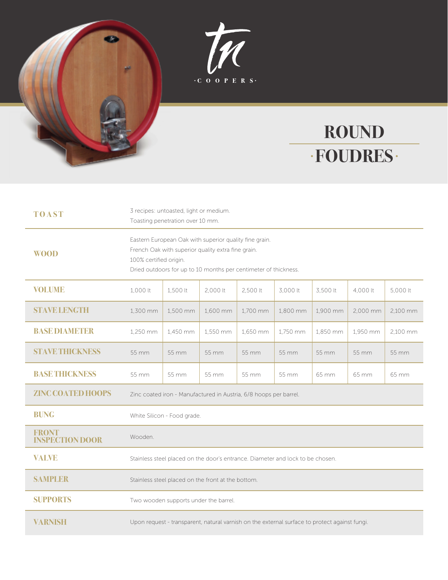



## **ROUND FOUDRES**

| <b>TOAST</b>                           | 3 recipes: untoasted, light or medium.<br>Toasting penetration over 10 mm.                                                                                                                                |          |          |          |          |          |          |          |
|----------------------------------------|-----------------------------------------------------------------------------------------------------------------------------------------------------------------------------------------------------------|----------|----------|----------|----------|----------|----------|----------|
| <b>WOOD</b>                            | Eastern European Oak with superior quality fine grain.<br>French Oak with superior quality extra fine grain.<br>100% certified origin.<br>Dried outdoors for up to 10 months per centimeter of thickness. |          |          |          |          |          |          |          |
| <b>VOLUME</b>                          | 1,000 lt                                                                                                                                                                                                  | 1,500 lt | 2,000 lt | 2,500 lt | 3,000 lt | 3,500 lt | 4,000 lt | 5,000 lt |
| <b>STAVE LENGTH</b>                    | 1,300 mm                                                                                                                                                                                                  | 1,500 mm | 1,600 mm | 1,700 mm | 1,800 mm | 1,900 mm | 2,000 mm | 2,100 mm |
| <b>BASEDIAMETER</b>                    | 1.250 mm                                                                                                                                                                                                  | 1,450 mm | 1,550 mm | 1.650 mm | 1.750 mm | 1.850 mm | 1,950 mm | 2.100 mm |
| <b>STAVE THICKNESS</b>                 | 55 mm                                                                                                                                                                                                     | 55 mm    | 55 mm    | 55 mm    | 55 mm    | 55 mm    | 55 mm    | 55 mm    |
| <b>BASETHICKNESS</b>                   | 55 mm                                                                                                                                                                                                     | 55 mm    | 55 mm    | 55 mm    | 55 mm    | 65 mm    | 65 mm    | 65 mm    |
| <b>ZINC COATED HOOPS</b>               | Zinc coated iron - Manufactured in Austria, 6/8 hoops per barrel.                                                                                                                                         |          |          |          |          |          |          |          |
| <b>BUNG</b>                            | White Silicon - Food grade.                                                                                                                                                                               |          |          |          |          |          |          |          |
| <b>FRONT</b><br><b>INSPECTION DOOR</b> | Wooden.                                                                                                                                                                                                   |          |          |          |          |          |          |          |
| <b>VALVE</b>                           | Stainless steel placed on the door's entrance. Diameter and lock to be chosen.                                                                                                                            |          |          |          |          |          |          |          |
| <b>SAMPLER</b>                         | Stainless steel placed on the front at the bottom.                                                                                                                                                        |          |          |          |          |          |          |          |
| <b>SUPPORTS</b>                        | Two wooden supports under the barrel.                                                                                                                                                                     |          |          |          |          |          |          |          |
| <b>VARNISH</b>                         | Upon request - transparent, natural varnish on the external surface to protect against fungi.                                                                                                             |          |          |          |          |          |          |          |